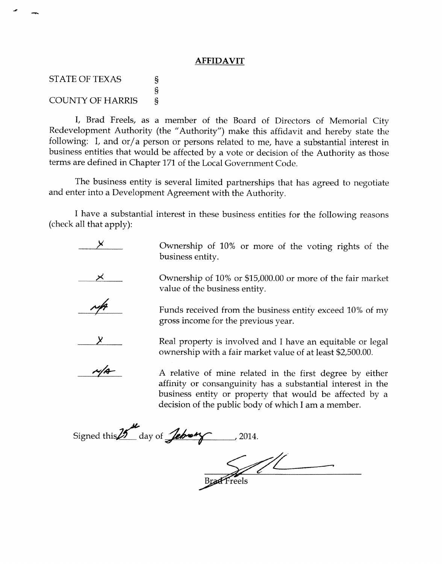## **AFFIDAVIT**

STATE OF TEXAS COUNTY OF HARRIS s \$ s

l, Brad Freels, as a member of the Board of Directors of Mernorial City Redevelopment Authority (the "Authority") make this affidavit and hereby state the following: I, and or/a person or persons related to me, have a substantial interest in business entities that would be affected by a vote or decision of the Authority as those terms are defined in Chapter 171 of the Local Government Code.

The business entity is several limited partnerships that has agreed to negotiate and enter into a Development Agreement with the Authority.

I have a substantial interest in these business entities for the following reasons (check all that apply):



Ownership of 10% or more of the voting rights of the business entity.

Ownership o{ 10% or \$15,000.00 or more of the fair market value of the business entity.



Funds received from the business entity exceed 10% of my gross income for the previous year.



Real property is involved and I have an equitable or legal ownership with a fair market value of at least \$2,500.00.



A relative of mine related in the first degree by either affinity or consanguinity has a substantial interest in the business entity or property that would be affected by <sup>a</sup> decision of the public body of which I am a member.

Signed this  $25$ <sup>th</sup> day of **Jehrong** 2014.